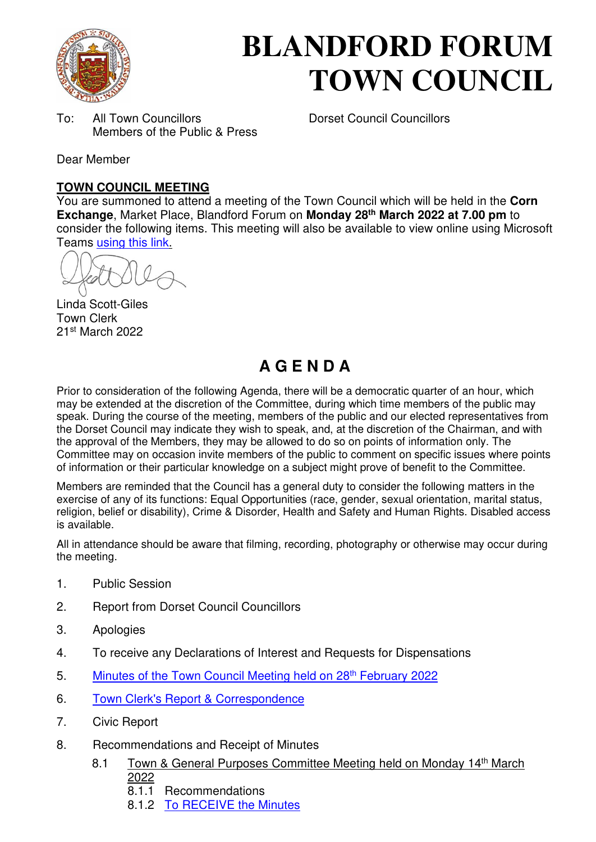

# **BLANDFORD FORUM TOWN COUNCIL**

To: All Town Councillors Dorset Council Councillors Members of the Public & Press

Dear Member

### **TOWN COUNCIL MEETING**

You are summoned to attend a meeting of the Town Council which will be held in the **Corn Exchange**, Market Place, Blandford Forum on **Monday 28th March 2022 at 7.00 pm** to consider the following items. This meeting will also be available to view online using Microsoft Teams [using this link.](https://teams.microsoft.com/l/meetup-join/19%3a2cb1b1f9de074efdad40308940ab9ba0%40thread.tacv2/1637588604909?context=%7b%22Tid%22%3a%223cd8f2fb-4c45-4162-86f1-fb87b5f6a138%22%2c%22Oid%22%3a%2265e5950c-ab1c-41cc-9090-4a755c733f54%22%7d)

Linda Scott-Giles Town Clerk 21st March 2022

## **A G E N D A**

Prior to consideration of the following Agenda, there will be a democratic quarter of an hour, which may be extended at the discretion of the Committee, during which time members of the public may speak. During the course of the meeting, members of the public and our elected representatives from the Dorset Council may indicate they wish to speak, and, at the discretion of the Chairman, and with the approval of the Members, they may be allowed to do so on points of information only. The Committee may on occasion invite members of the public to comment on specific issues where points of information or their particular knowledge on a subject might prove of benefit to the Committee.

Members are reminded that the Council has a general duty to consider the following matters in the exercise of any of its functions: Equal Opportunities (race, gender, sexual orientation, marital status, religion, belief or disability), Crime & Disorder, Health and Safety and Human Rights. Disabled access is available.

All in attendance should be aware that filming, recording, photography or otherwise may occur during the meeting.

- 1. Public Session
- 2. Report from Dorset Council Councillors
- 3. Apologies
- 4. To receive any Declarations of Interest and Requests for Dispensations
- 5. [Minutes of the Town Council Meeting held on 28](https://blandfordforum-tc.gov.uk/wp-content/uploads/2022/03/280222.pdf)<sup>th</sup> February 2022
- 6. [Town Clerk's Report & Correspondence](#page-2-0)
- 7. Civic Report
- 8. Recommendations and Receipt of Minutes
	- 8.1 Town & General Purposes Committee Meeting held on Monday 14<sup>th</sup> March 2022
		- 8.1.1 Recommendations
		- 8.1.2 [To RECEIVE the Minutes](https://blandfordforum-tc.gov.uk/wp-content/uploads/2022/03/140322.pdf)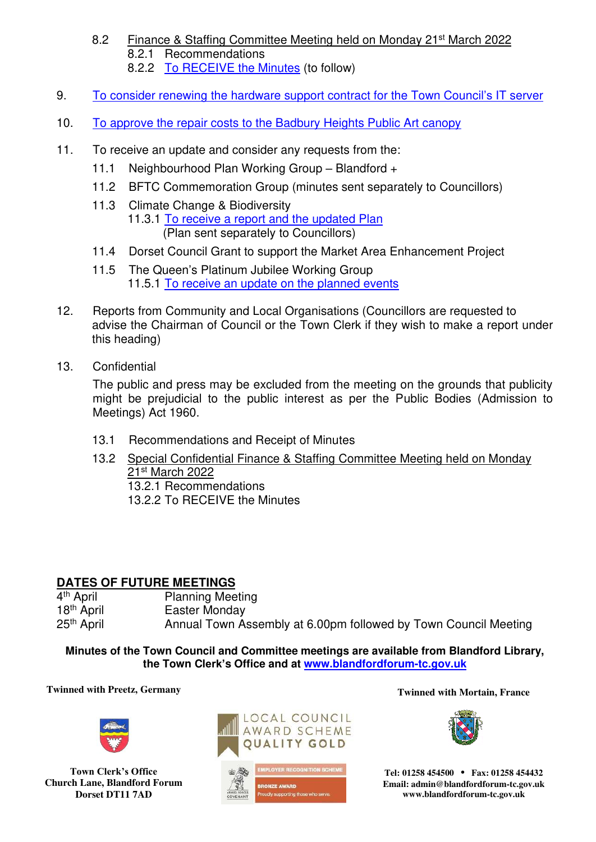- 8.2 Finance & Staffing Committee Meeting held on Monday 21st March 2022 8.2.1 Recommendations 8.2.2 [To RECEIVE the Minutes](https://blandfordforum-tc.gov.uk/town-council/meetingscommittees) (to follow)
- 9. [To consider renewing the hardware support contract for the Town Council](#page-3-0)'s IT server
- 10. [To approve the repair costs to the Badbury Heights Public Art canopy](#page-4-0)
- 11. To receive an update and consider any requests from the:
	- 11.1 Neighbourhood Plan Working Group Blandford +
	- 11.2 BFTC Commemoration Group (minutes sent separately to Councillors)
	- 11.3 Climate Change & Biodiversity 11.3.1 [To receive a report and the updated Plan](#page-5-0)  (Plan sent separately to Councillors)
	- 11.4 Dorset Council Grant to support the Market Area Enhancement Project
	- 11.5 The Queen's Platinum Jubilee Working Group 11.5.1 To receive an update on the planned events
- 12. Reports from Community and Local Organisations (Councillors are requested to advise the Chairman of Council or the Town Clerk if they wish to make a report under this heading)
- 13. Confidential

The public and press may be excluded from the meeting on the grounds that publicity might be prejudicial to the public interest as per the Public Bodies (Admission to Meetings) Act 1960.

- 13.1 Recommendations and Receipt of Minutes
- 13.2 Special Confidential Finance & Staffing Committee Meeting held on Monday 21st March 2022 13.2.1 Recommendations 13.2.2 To RECEIVE the Minutes

#### **DATES OF FUTURE MEETINGS**

4<sup>th</sup> April<br>18<sup>th</sup> April Planning Meeting Easter Monday 25<sup>th</sup> April **Annual Town Assembly at 6.00pm followed by Town Council Meeting** 

**Minutes of the Town Council and Committee meetings are available from Blandford Library, the Town Clerk's Office and at [www.blandfordforum-tc.gov.uk](http://www.blandfordforum-tc.gov.uk/)**

#### **Twinned with Preetz, Germany Twinned with Mortain, France**



**Town Clerk's Office Church Lane, Blandford Forum Dorset DT11 7AD**







**Tel: 01258 454500 • Fax: 01258 454432 Email: admin@blandfordforum-tc.gov.uk www.blandfordforum-tc.gov.uk**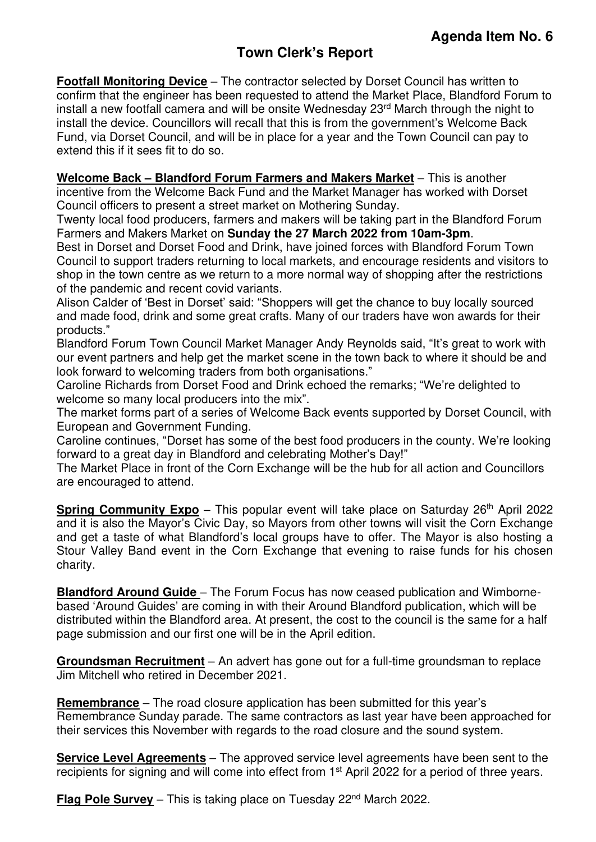<span id="page-2-0"></span>**Footfall Monitoring Device** – The contractor selected by Dorset Council has written to confirm that the engineer has been requested to attend the Market Place, Blandford Forum to install a new footfall camera and will be onsite Wednesday 23rd March through the night to install the device. Councillors will recall that this is from the government's Welcome Back Fund, via Dorset Council, and will be in place for a year and the Town Council can pay to extend this if it sees fit to do so.

**Welcome Back – Blandford Forum Farmers and Makers Market** – This is another incentive from the Welcome Back Fund and the Market Manager has worked with Dorset Council officers to present a street market on Mothering Sunday.

Twenty local food producers, farmers and makers will be taking part in the Blandford Forum Farmers and Makers Market on **Sunday the 27 March 2022 from 10am-3pm**.

Best in Dorset and Dorset Food and Drink, have joined forces with Blandford Forum Town Council to support traders returning to local markets, and encourage residents and visitors to shop in the town centre as we return to a more normal way of shopping after the restrictions of the pandemic and recent covid variants.

Alison Calder of 'Best in Dorset' said: "Shoppers will get the chance to buy locally sourced and made food, drink and some great crafts. Many of our traders have won awards for their products."

Blandford Forum Town Council Market Manager Andy Reynolds said, "It's great to work with our event partners and help get the market scene in the town back to where it should be and look forward to welcoming traders from both organisations."

Caroline Richards from Dorset Food and Drink echoed the remarks; "We're delighted to welcome so many local producers into the mix".

The market forms part of a series of Welcome Back events supported by Dorset Council, with European and Government Funding.

Caroline continues, "Dorset has some of the best food producers in the county. We're looking forward to a great day in Blandford and celebrating Mother's Day!"

The Market Place in front of the Corn Exchange will be the hub for all action and Councillors are encouraged to attend.

**Spring Community Expo** – This popular event will take place on Saturday 26<sup>th</sup> April 2022 and it is also the Mayor's Civic Day, so Mayors from other towns will visit the Corn Exchange and get a taste of what Blandford's local groups have to offer. The Mayor is also hosting a Stour Valley Band event in the Corn Exchange that evening to raise funds for his chosen charity.

**Blandford Around Guide** – The Forum Focus has now ceased publication and Wimbornebased 'Around Guides' are coming in with their Around Blandford publication, which will be distributed within the Blandford area. At present, the cost to the council is the same for a half page submission and our first one will be in the April edition.

**Groundsman Recruitment** – An advert has gone out for a full-time groundsman to replace Jim Mitchell who retired in December 2021.

**Remembrance** – The road closure application has been submitted for this year's Remembrance Sunday parade. The same contractors as last year have been approached for their services this November with regards to the road closure and the sound system.

**Service Level Agreements** – The approved service level agreements have been sent to the recipients for signing and will come into effect from 1<sup>st</sup> April 2022 for a period of three years.

**Flag Pole Survey** – This is taking place on Tuesday 22<sup>nd</sup> March 2022.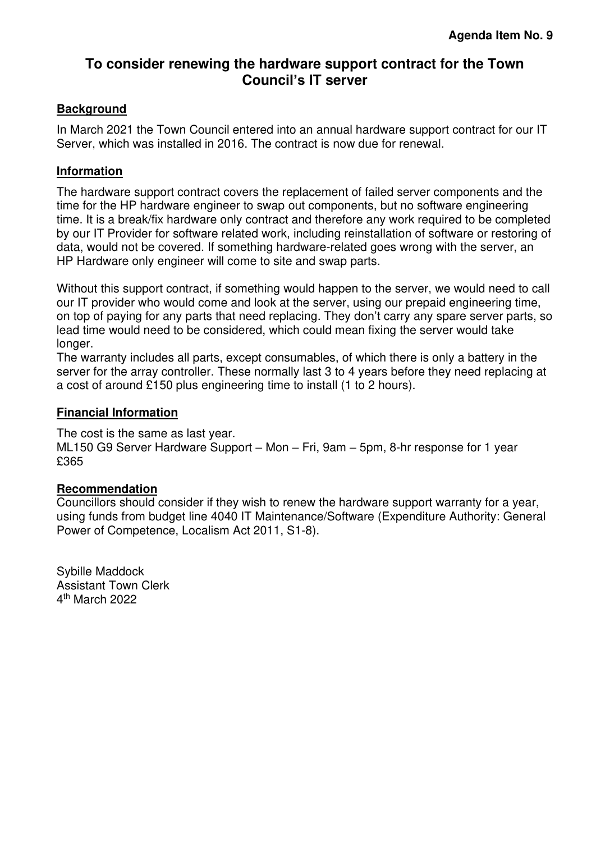## <span id="page-3-0"></span>**To consider renewing the hardware support contract for the Town Council's IT server**

#### **Background**

In March 2021 the Town Council entered into an annual hardware support contract for our IT Server, which was installed in 2016. The contract is now due for renewal.

#### **Information**

The hardware support contract covers the replacement of failed server components and the time for the HP hardware engineer to swap out components, but no software engineering time. It is a break/fix hardware only contract and therefore any work required to be completed by our IT Provider for software related work, including reinstallation of software or restoring of data, would not be covered. If something hardware-related goes wrong with the server, an HP Hardware only engineer will come to site and swap parts.

Without this support contract, if something would happen to the server, we would need to call our IT provider who would come and look at the server, using our prepaid engineering time, on top of paying for any parts that need replacing. They don't carry any spare server parts, so lead time would need to be considered, which could mean fixing the server would take longer.

The warranty includes all parts, except consumables, of which there is only a battery in the server for the array controller. These normally last 3 to 4 years before they need replacing at a cost of around £150 plus engineering time to install (1 to 2 hours).

#### **Financial Information**

The cost is the same as last year.

ML150 G9 Server Hardware Support – Mon – Fri, 9am – 5pm, 8-hr response for 1 year £365

#### **Recommendation**

Councillors should consider if they wish to renew the hardware support warranty for a year, using funds from budget line 4040 IT Maintenance/Software (Expenditure Authority: General Power of Competence, Localism Act 2011, S1-8).

Sybille Maddock Assistant Town Clerk 4 th March 2022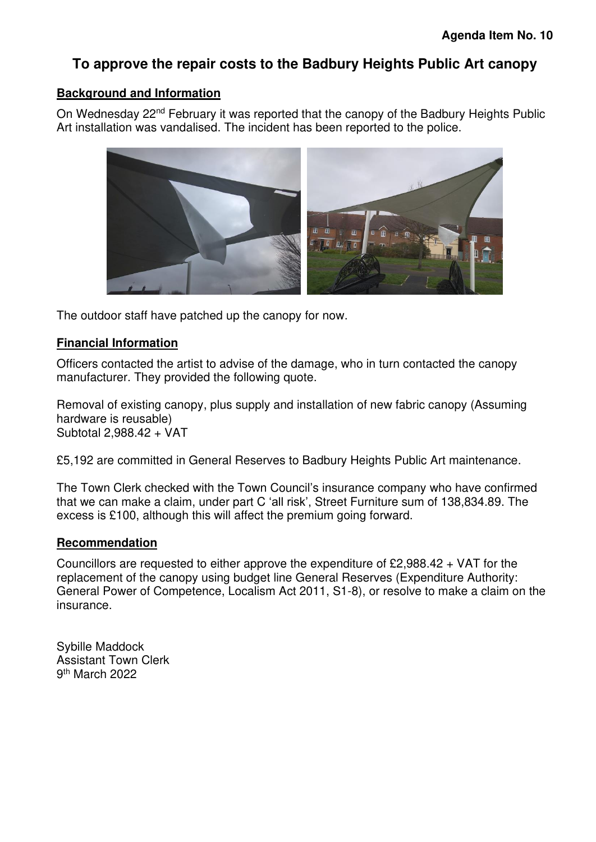## <span id="page-4-0"></span>**To approve the repair costs to the Badbury Heights Public Art canopy**

#### **Background and Information**

On Wednesday 22nd February it was reported that the canopy of the Badbury Heights Public Art installation was vandalised. The incident has been reported to the police.



The outdoor staff have patched up the canopy for now.

#### **Financial Information**

Officers contacted the artist to advise of the damage, who in turn contacted the canopy manufacturer. They provided the following quote.

Removal of existing canopy, plus supply and installation of new fabric canopy (Assuming hardware is reusable) Subtotal 2,988.42 + VAT

£5,192 are committed in General Reserves to Badbury Heights Public Art maintenance.

The Town Clerk checked with the Town Council's insurance company who have confirmed that we can make a claim, under part C 'all risk', Street Furniture sum of 138,834.89. The excess is £100, although this will affect the premium going forward.

#### **Recommendation**

Councillors are requested to either approve the expenditure of £2,988.42 + VAT for the replacement of the canopy using budget line General Reserves (Expenditure Authority: General Power of Competence, Localism Act 2011, S1-8), or resolve to make a claim on the insurance.

Sybille Maddock Assistant Town Clerk 9<sup>th</sup> March 2022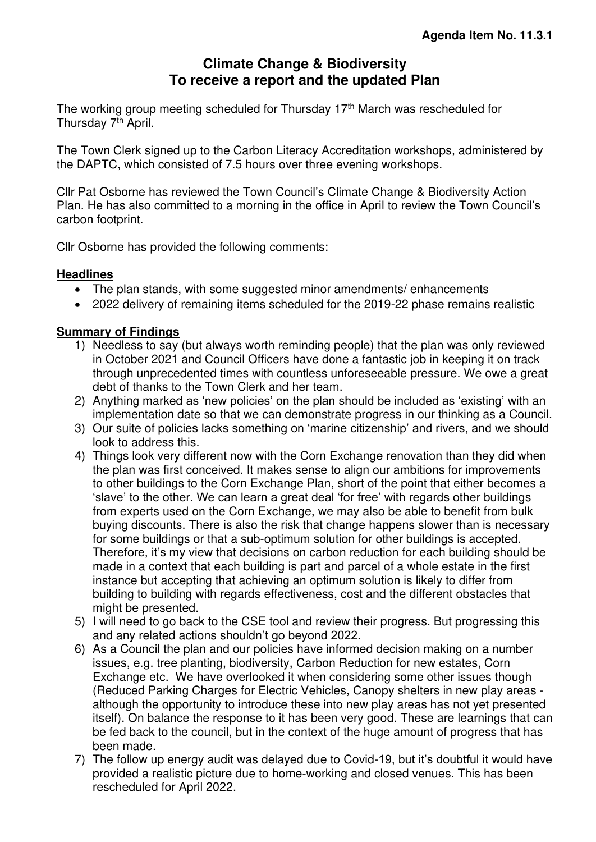## **Climate Change & Biodiversity To receive a report and the updated Plan**

<span id="page-5-0"></span>The working group meeting scheduled for Thursday 17th March was rescheduled for Thursday 7<sup>th</sup> April.

The Town Clerk signed up to the Carbon Literacy Accreditation workshops, administered by the DAPTC, which consisted of 7.5 hours over three evening workshops.

Cllr Pat Osborne has reviewed the Town Council's Climate Change & Biodiversity Action Plan. He has also committed to a morning in the office in April to review the Town Council's carbon footprint.

Cllr Osborne has provided the following comments:

#### **Headlines**

- The plan stands, with some suggested minor amendments/enhancements
- 2022 delivery of remaining items scheduled for the 2019-22 phase remains realistic

#### **Summary of Findings**

- 1) Needless to say (but always worth reminding people) that the plan was only reviewed in October 2021 and Council Officers have done a fantastic job in keeping it on track through unprecedented times with countless unforeseeable pressure. We owe a great debt of thanks to the Town Clerk and her team.
- 2) Anything marked as 'new policies' on the plan should be included as 'existing' with an implementation date so that we can demonstrate progress in our thinking as a Council.
- 3) Our suite of policies lacks something on 'marine citizenship' and rivers, and we should look to address this.
- 4) Things look very different now with the Corn Exchange renovation than they did when the plan was first conceived. It makes sense to align our ambitions for improvements to other buildings to the Corn Exchange Plan, short of the point that either becomes a 'slave' to the other. We can learn a great deal 'for free' with regards other buildings from experts used on the Corn Exchange, we may also be able to benefit from bulk buying discounts. There is also the risk that change happens slower than is necessary for some buildings or that a sub-optimum solution for other buildings is accepted. Therefore, it's my view that decisions on carbon reduction for each building should be made in a context that each building is part and parcel of a whole estate in the first instance but accepting that achieving an optimum solution is likely to differ from building to building with regards effectiveness, cost and the different obstacles that might be presented.
- 5) I will need to go back to the CSE tool and review their progress. But progressing this and any related actions shouldn't go beyond 2022.
- 6) As a Council the plan and our policies have informed decision making on a number issues, e.g. tree planting, biodiversity, Carbon Reduction for new estates, Corn Exchange etc. We have overlooked it when considering some other issues though (Reduced Parking Charges for Electric Vehicles, Canopy shelters in new play areas although the opportunity to introduce these into new play areas has not yet presented itself). On balance the response to it has been very good. These are learnings that can be fed back to the council, but in the context of the huge amount of progress that has been made.
- 7) The follow up energy audit was delayed due to Covid-19, but it's doubtful it would have provided a realistic picture due to home-working and closed venues. This has been rescheduled for April 2022.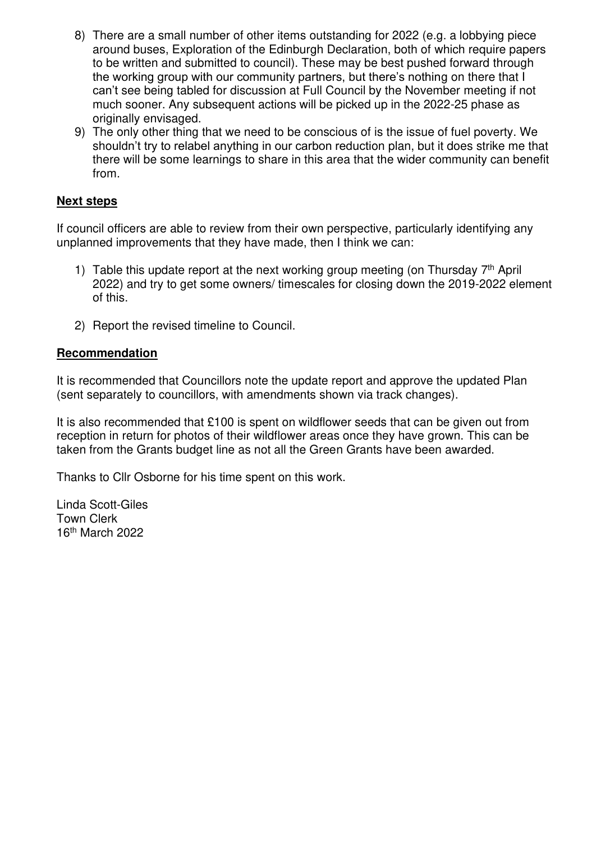- 8) There are a small number of other items outstanding for 2022 (e.g. a lobbying piece around buses, Exploration of the Edinburgh Declaration, both of which require papers to be written and submitted to council). These may be best pushed forward through the working group with our community partners, but there's nothing on there that I can't see being tabled for discussion at Full Council by the November meeting if not much sooner. Any subsequent actions will be picked up in the 2022-25 phase as originally envisaged.
- 9) The only other thing that we need to be conscious of is the issue of fuel poverty. We shouldn't try to relabel anything in our carbon reduction plan, but it does strike me that there will be some learnings to share in this area that the wider community can benefit from.

#### **Next steps**

If council officers are able to review from their own perspective, particularly identifying any unplanned improvements that they have made, then I think we can:

- 1) Table this update report at the next working group meeting (on Thursday  $7<sup>th</sup>$  April 2022) and try to get some owners/ timescales for closing down the 2019-2022 element of this.
- 2) Report the revised timeline to Council.

#### **Recommendation**

It is recommended that Councillors note the update report and approve the updated Plan (sent separately to councillors, with amendments shown via track changes).

It is also recommended that £100 is spent on wildflower seeds that can be given out from reception in return for photos of their wildflower areas once they have grown. This can be taken from the Grants budget line as not all the Green Grants have been awarded.

Thanks to Cllr Osborne for his time spent on this work.

Linda Scott-Giles Town Clerk 16th March 2022